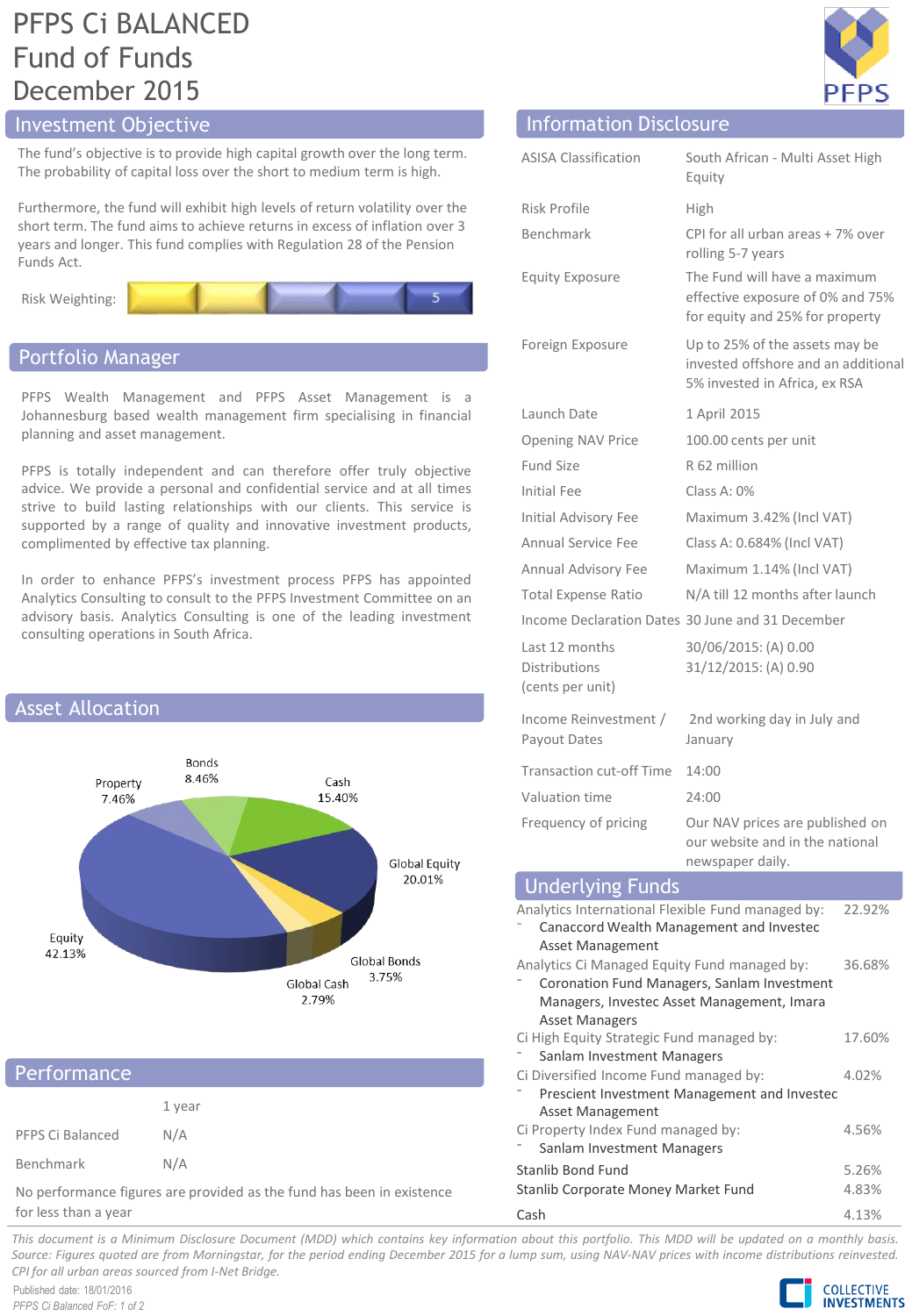# PFPS Ci BALANCED Fund of Funds December 2015

# Investment Objective

The fund's objective is to provide high capital growth over the long term. The probability of capital loss over the short to medium term is high.

Furthermore, the fund will exhibit high levels of return volatility over the short term. The fund aims to achieve returns in excess of inflation over 3 years and longer. This fund complies with Regulation 28 of the Pension Funds Act.





# Portfolio Manager

PFPS Wealth Management and PFPS Asset Management is a Johannesburg based wealth management firm specialising in financial planning and asset management.

PFPS is totally independent and can therefore offer truly objective advice. We provide a personal and confidential service and at all times strive to build lasting relationships with our clients. This service is supported by a range of quality and innovative investment products, complimented by effective tax planning.

In order to enhance PFPS's investment process PFPS has appointed Analytics Consulting to consult to the PFPS Investment Committee on an advisory basis. Analytics Consulting is one of the leading investment consulting operations in South Africa.



| Performance                                                           |        |  |
|-----------------------------------------------------------------------|--------|--|
|                                                                       | 1 year |  |
| PFPS Ci Balanced                                                      | N/A    |  |
| Benchmark                                                             | N/A    |  |
| No performance figures are provided as the fund has been in existence |        |  |

for less than a year



|                               | PFPS                                                                                                   |
|-------------------------------|--------------------------------------------------------------------------------------------------------|
| <b>Information Disclosure</b> |                                                                                                        |
| <b>ASISA Classification</b>   | South African - Multi Asset High<br>Equity                                                             |
| Risk Profile                  | High                                                                                                   |
| <b>Benchmark</b>              | CPI for all urban areas + 7% over<br>rolling 5-7 years                                                 |
| <b>Equity Exposure</b>        | The Fund will have a maximum<br>effective exposure of 0% and 75%<br>for equity and 25% for property    |
| Foreign Exposure              | Up to 25% of the assets may be<br>invested offshore and an additional<br>5% invested in Africa, ex RSA |
| Launch Date                   | 1 April 2015                                                                                           |
| <b>Opening NAV Price</b>      | 100.00 cents per unit                                                                                  |
| <b>Fund Size</b>              | R 62 million                                                                                           |
| Initial Fee                   | Class A: $0\%$                                                                                         |
| <b>Initial Advisory Fee</b>   | Maximum 3.42% (Incl VAT)                                                                               |
| Annual Service Fee            | Class A: 0.684% (Incl VAT)                                                                             |
| Annual Advisory Fee           | Maximum 1.14% (Incl VAT)                                                                               |
| Total Expense Ratio           | N/A till 12 months after launch                                                                        |
|                               | Income Declaration Dates 30 June and 31 December                                                       |
| Last 12 months                | 30/06/2015: (A) 0.00                                                                                   |

| Last 12 months<br>Distributions<br>(cents per unit) | 30/06/2015: (A) 0.00<br>31/12/2015: (A) 0.90                                          |
|-----------------------------------------------------|---------------------------------------------------------------------------------------|
| Income Reinvestment /<br>Payout Dates               | 2nd working day in July and<br>January                                                |
| Transaction cut-off Time                            | 14:00                                                                                 |
| Valuation time                                      | 24:00                                                                                 |
| Frequency of pricing                                | Our NAV prices are published on<br>our website and in the national<br>nowenanor daily |

| newspaper daily.                                  |        |
|---------------------------------------------------|--------|
| <b>Underlying Funds</b>                           |        |
| Analytics International Flexible Fund managed by: | 22.92% |
| Canaccord Wealth Management and Investec          |        |
| <b>Asset Management</b>                           |        |
| Analytics Ci Managed Equity Fund managed by:      | 36.68% |
| Coronation Fund Managers, Sanlam Investment       |        |
| Managers, Investec Asset Management, Imara        |        |
| <b>Asset Managers</b>                             |        |
| Ci High Equity Strategic Fund managed by:         | 17.60% |
| Sanlam Investment Managers                        |        |
| Ci Diversified Income Fund managed by:            | 4.02%  |
| Prescient Investment Management and Investec      |        |
| <b>Asset Management</b>                           |        |
| Ci Property Index Fund managed by:                | 4.56%  |
| Sanlam Investment Managers                        |        |
| Stanlib Bond Fund                                 | 5.26%  |
| Stanlib Corporate Money Market Fund               | 4.83%  |
|                                                   |        |

Cash 4.13%

This document is a Minimum Disclosure Document (MDD) which contains key information about this portfolio. This MDD will be updated on a monthly basis. Source: Figures guoted are from Morningstar, for the period ending December 2015 for a lump sum, using NAV-NAV prices with income distributions reinvested. *CPI for all urban areas sourced from I-Net Bridge.*

Published date: 18/01/2016 *PFPS Ci Balanced FoF: 1 of 2*